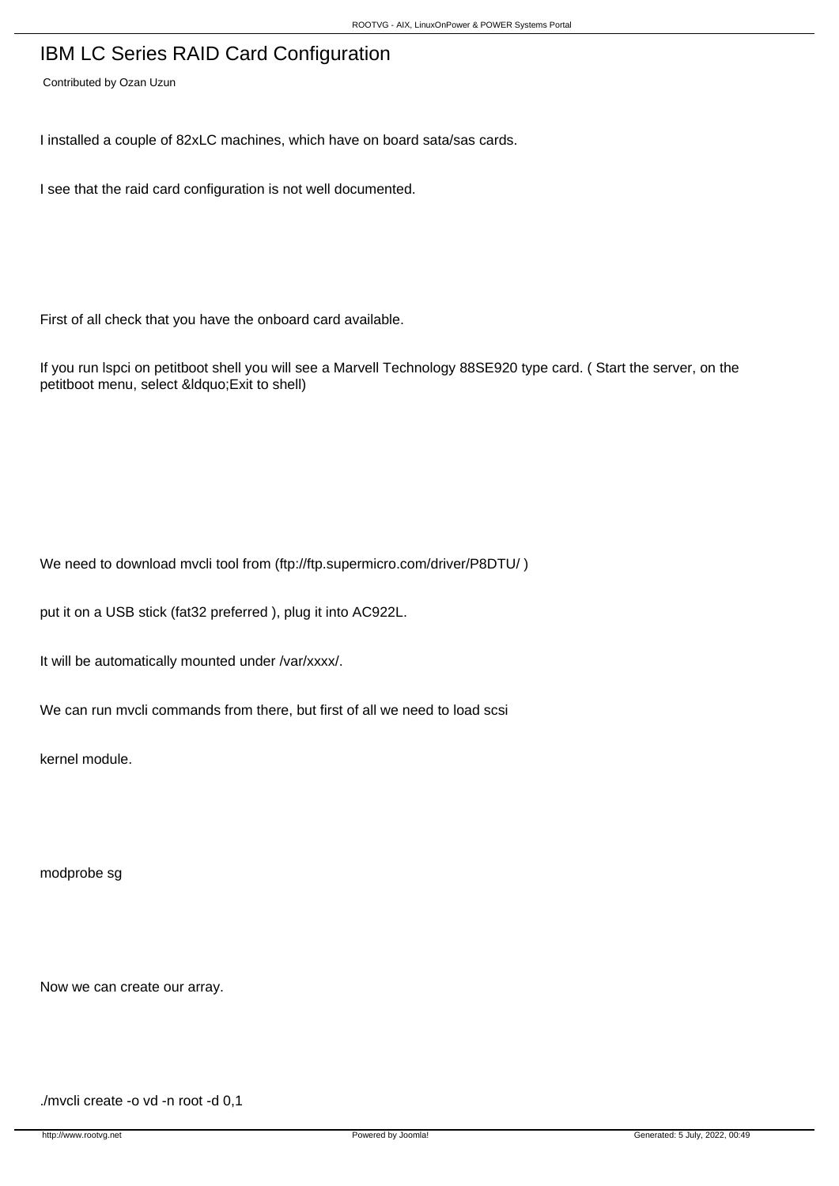## IBM LC Series RAID Card Configuration

Contributed by Ozan Uzun

I installed a couple of 82xLC machines, which have on board sata/sas cards.

I see that the raid card configuration is not well documented.

First of all check that you have the onboard card available.

If you run lspci on petitboot shell you will see a Marvell Technology 88SE920 type card. ( Start the server, on the petitboot menu, select " Exit to shell)

We need to download mvcli tool from (ftp://ftp.supermicro.com/driver/P8DTU/)

put it on a USB stick (fat32 preferred ), plug it into AC922L.

It will be automatically mounted under /var/xxxx/.

We can run mvcli commands from there, but first of all we need to load scsi

kernel module.

modprobe sg

Now we can create our array.